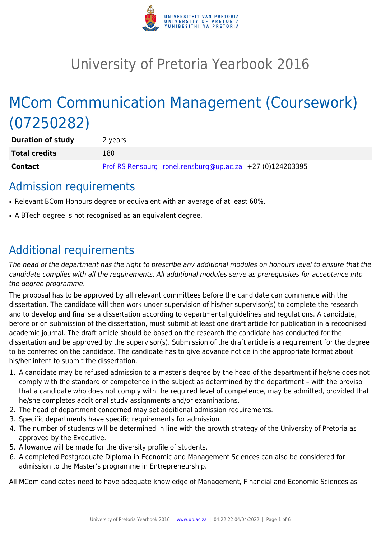

# University of Pretoria Yearbook 2016

# MCom Communication Management (Coursework) (07250282)

| <b>Duration of study</b> | 2 years                                                   |
|--------------------------|-----------------------------------------------------------|
| <b>Total credits</b>     | 180.                                                      |
| <b>Contact</b>           | Prof RS Rensburg ronel.rensburg@up.ac.za +27 (0)124203395 |

### Admission requirements

- Relevant BCom Honours degree or equivalent with an average of at least 60%.
- A BTech degree is not recognised as an equivalent degree.

## Additional requirements

The head of the department has the right to prescribe any additional modules on honours level to ensure that the candidate complies with all the requirements. All additional modules serve as prerequisites for acceptance into the degree programme.

The proposal has to be approved by all relevant committees before the candidate can commence with the dissertation. The candidate will then work under supervision of his/her supervisor(s) to complete the research and to develop and finalise a dissertation according to departmental guidelines and regulations. A candidate, before or on submission of the dissertation, must submit at least one draft article for publication in a recognised academic journal. The draft article should be based on the research the candidate has conducted for the dissertation and be approved by the supervisor(s). Submission of the draft article is a requirement for the degree to be conferred on the candidate. The candidate has to give advance notice in the appropriate format about his/her intent to submit the dissertation.

- 1. A candidate may be refused admission to a master's degree by the head of the department if he/she does not comply with the standard of competence in the subject as determined by the department – with the proviso that a candidate who does not comply with the required level of competence, may be admitted, provided that he/she completes additional study assignments and/or examinations.
- 2. The head of department concerned may set additional admission requirements.
- 3. Specific departments have specific requirements for admission.
- 4. The number of students will be determined in line with the growth strategy of the University of Pretoria as approved by the Executive.
- 5. Allowance will be made for the diversity profile of students.
- 6. A completed Postgraduate Diploma in Economic and Management Sciences can also be considered for admission to the Master's programme in Entrepreneurship.

All MCom candidates need to have adequate knowledge of Management, Financial and Economic Sciences as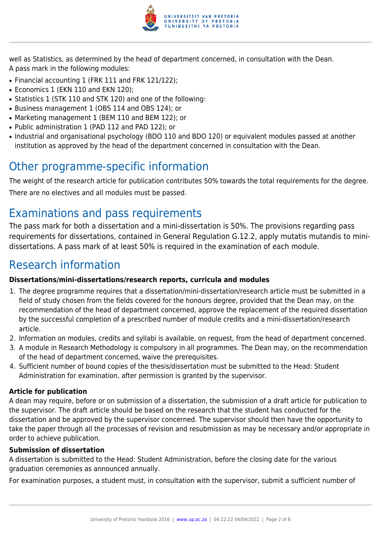

well as Statistics, as determined by the head of department concerned, in consultation with the Dean. A pass mark in the following modules:

- Financial accounting 1 (FRK 111 and FRK 121/122);
- Economics 1 (EKN 110 and EKN 120):
- Statistics 1 (STK 110 and STK 120) and one of the following:
- Business management 1 (OBS 114 and OBS 124); or
- Marketing management 1 (BEM 110 and BEM 122); or
- Public administration 1 (PAD 112 and PAD 122); or
- Industrial and organisational psychology (BDO 110 and BDO 120) or equivalent modules passed at another institution as approved by the head of the department concerned in consultation with the Dean.

### Other programme-specific information

The weight of the research article for publication contributes 50% towards the total requirements for the degree. There are no electives and all modules must be passed.

# Examinations and pass requirements

The pass mark for both a dissertation and a mini-dissertation is 50%. The provisions regarding pass requirements for dissertations, contained in General Regulation G.12.2, apply mutatis mutandis to minidissertations. A pass mark of at least 50% is required in the examination of each module.

# Research information

#### **Dissertations/mini-dissertations/research reports, curricula and modules**

- 1. The degree programme requires that a dissertation/mini-dissertation/research article must be submitted in a field of study chosen from the fields covered for the honours degree, provided that the Dean may, on the recommendation of the head of department concerned, approve the replacement of the required dissertation by the successful completion of a prescribed number of module credits and a mini-dissertation/research article.
- 2. Information on modules, credits and syllabi is available, on request, from the head of department concerned.
- 3. A module in Research Methodology is compulsory in all programmes. The Dean may, on the recommendation of the head of department concerned, waive the prerequisites.
- 4. Sufficient number of bound copies of the thesis/dissertation must be submitted to the Head: Student Administration for examination, after permission is granted by the supervisor.

#### **Article for publication**

A dean may require, before or on submission of a dissertation, the submission of a draft article for publication to the supervisor. The draft article should be based on the research that the student has conducted for the dissertation and be approved by the supervisor concerned. The supervisor should then have the opportunity to take the paper through all the processes of revision and resubmission as may be necessary and/or appropriate in order to achieve publication.

#### **Submission of dissertation**

A dissertation is submitted to the Head: Student Administration, before the closing date for the various graduation ceremonies as announced annually.

For examination purposes, a student must, in consultation with the supervisor, submit a sufficient number of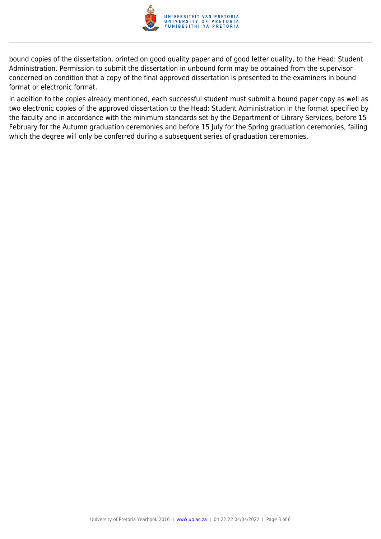

bound copies of the dissertation, printed on good quality paper and of good letter quality, to the Head: Student Administration. Permission to submit the dissertation in unbound form may be obtained from the supervisor concerned on condition that a copy of the final approved dissertation is presented to the examiners in bound format or electronic format.

In addition to the copies already mentioned, each successful student must submit a bound paper copy as well as two electronic copies of the approved dissertation to the Head: Student Administration in the format specified by the faculty and in accordance with the minimum standards set by the Department of Library Services, before 15 February for the Autumn graduation ceremonies and before 15 July for the Spring graduation ceremonies, failing which the degree will only be conferred during a subsequent series of graduation ceremonies.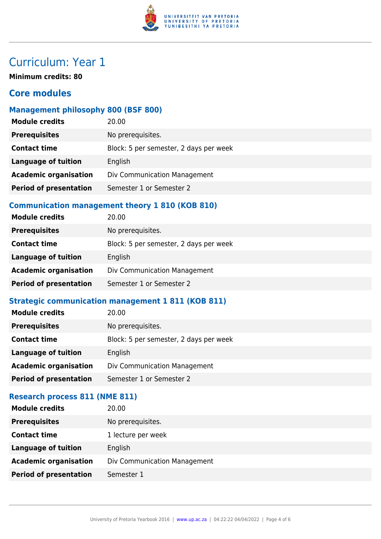

# Curriculum: Year 1

**Minimum credits: 80**

### **Core modules**

#### **Management philosophy 800 (BSF 800)**

| <b>Module credits</b>         | 20.00                                  |
|-------------------------------|----------------------------------------|
| <b>Prerequisites</b>          | No prerequisites.                      |
| <b>Contact time</b>           | Block: 5 per semester, 2 days per week |
| <b>Language of tuition</b>    | English                                |
| <b>Academic organisation</b>  | Div Communication Management           |
| <b>Period of presentation</b> | Semester 1 or Semester 2               |
|                               |                                        |

#### **Communication management theory 1 810 (KOB 810)**

| <b>Module credits</b>         | 20.00                                  |
|-------------------------------|----------------------------------------|
| <b>Prerequisites</b>          | No prerequisites.                      |
| <b>Contact time</b>           | Block: 5 per semester, 2 days per week |
| <b>Language of tuition</b>    | English                                |
| <b>Academic organisation</b>  | Div Communication Management           |
| <b>Period of presentation</b> | Semester 1 or Semester 2               |

### **Strategic communication management 1 811 (KOB 811)**

| <b>Module credits</b>         | 20.00                                  |
|-------------------------------|----------------------------------------|
| <b>Prerequisites</b>          | No prerequisites.                      |
| <b>Contact time</b>           | Block: 5 per semester, 2 days per week |
| <b>Language of tuition</b>    | English                                |
| <b>Academic organisation</b>  | Div Communication Management           |
| <b>Period of presentation</b> | Semester 1 or Semester 2               |
|                               |                                        |

#### **Research process 811 (NME 811)**

| <b>Module credits</b>         | 20.00                        |
|-------------------------------|------------------------------|
| <b>Prerequisites</b>          | No prerequisites.            |
| <b>Contact time</b>           | 1 lecture per week           |
| <b>Language of tuition</b>    | English                      |
| <b>Academic organisation</b>  | Div Communication Management |
| <b>Period of presentation</b> | Semester 1                   |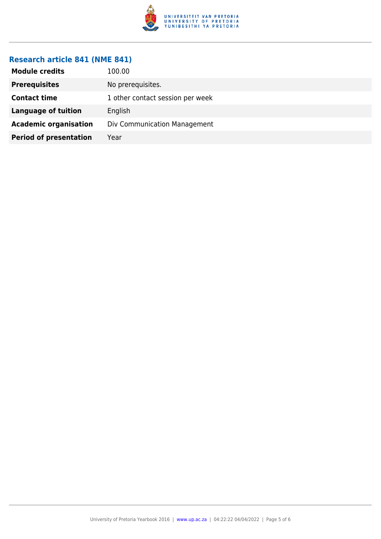

#### **Research article 841 (NME 841)**

| <b>Module credits</b>         | 100.00                           |
|-------------------------------|----------------------------------|
| <b>Prerequisites</b>          | No prerequisites.                |
| <b>Contact time</b>           | 1 other contact session per week |
| <b>Language of tuition</b>    | English                          |
| <b>Academic organisation</b>  | Div Communication Management     |
| <b>Period of presentation</b> | Year                             |